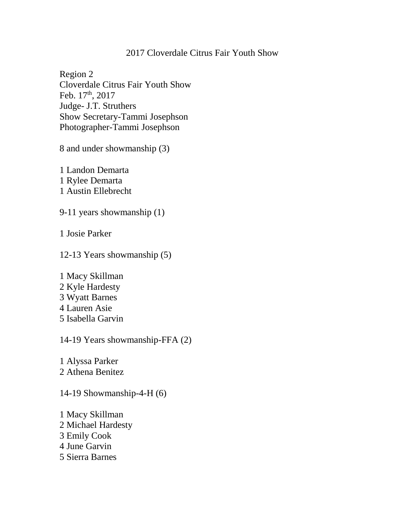## 2017 Cloverdale Citrus Fair Youth Show

Region 2 Cloverdale Citrus Fair Youth Show Feb. 17<sup>th</sup>, 2017 Judge- J.T. Struthers Show Secretary-Tammi Josephson Photographer-Tammi Josephson

8 and under showmanship (3)

1 Landon Demarta 1 Rylee Demarta 1 Austin Ellebrecht

9-11 years showmanship (1)

1 Josie Parker

12-13 Years showmanship (5)

1 Macy Skillman 2 Kyle Hardesty 3 Wyatt Barnes 4 Lauren Asie 5 Isabella Garvin

14-19 Years showmanship-FFA (2)

1 Alyssa Parker 2 Athena Benitez

14-19 Showmanship-4-H (6)

1 Macy Skillman 2 Michael Hardesty 3 Emily Cook 4 June Garvin 5 Sierra Barnes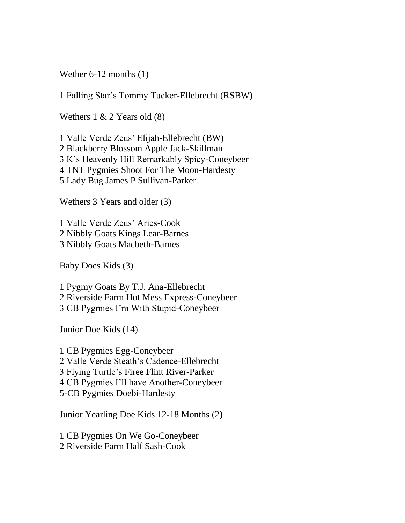Wether 6-12 months (1)

1 Falling Star's Tommy Tucker-Ellebrecht (RSBW)

Wethers 1 & 2 Years old (8)

1 Valle Verde Zeus' Elijah-Ellebrecht (BW) 2 Blackberry Blossom Apple Jack-Skillman 3 K's Heavenly Hill Remarkably Spicy-Coneybeer 4 TNT Pygmies Shoot For The Moon-Hardesty 5 Lady Bug James P Sullivan-Parker

Wethers 3 Years and older (3)

1 Valle Verde Zeus' Aries-Cook 2 Nibbly Goats Kings Lear-Barnes 3 Nibbly Goats Macbeth-Barnes

Baby Does Kids (3)

1 Pygmy Goats By T.J. Ana-Ellebrecht 2 Riverside Farm Hot Mess Express-Coneybeer 3 CB Pygmies I'm With Stupid-Coneybeer

Junior Doe Kids (14)

1 CB Pygmies Egg-Coneybeer 2 Valle Verde Steath's Cadence-Ellebrecht 3 Flying Turtle's Firee Flint River-Parker 4 CB Pygmies I'll have Another-Coneybeer 5-CB Pygmies Doebi-Hardesty

Junior Yearling Doe Kids 12-18 Months (2)

1 CB Pygmies On We Go-Coneybeer 2 Riverside Farm Half Sash-Cook